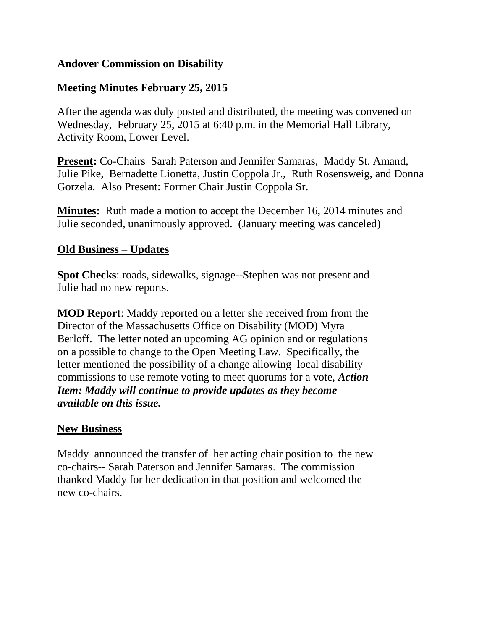## **Andover Commission on Disability**

## **Meeting Minutes February 25, 2015**

After the agenda was duly posted and distributed, the meeting was convened on Wednesday, February 25, 2015 at 6:40 p.m. in the Memorial Hall Library, Activity Room, Lower Level.

**Present:** Co-Chairs Sarah Paterson and Jennifer Samaras, Maddy St. Amand, Julie Pike, Bernadette Lionetta, Justin Coppola Jr., Ruth Rosensweig, and Donna Gorzela. Also Present: Former Chair Justin Coppola Sr.

**Minutes:** Ruth made a motion to accept the December 16, 2014 minutes and Julie seconded, unanimously approved. (January meeting was canceled)

#### **Old Business – Updates**

**Spot Checks**: roads, sidewalks, signage--Stephen was not present and Julie had no new reports.

**MOD Report**: Maddy reported on a letter she received from from the Director of the Massachusetts Office on Disability (MOD) Myra Berloff. The letter noted an upcoming AG opinion and or regulations on a possible to change to the Open Meeting Law. Specifically, the letter mentioned the possibility of a change allowing local disability commissions to use remote voting to meet quorums for a vote, *Action Item: Maddy will continue to provide updates as they become available on this issue.*

#### **New Business**

Maddy announced the transfer of her acting chair position to the new co-chairs-- Sarah Paterson and Jennifer Samaras. The commission thanked Maddy for her dedication in that position and welcomed the new co-chairs.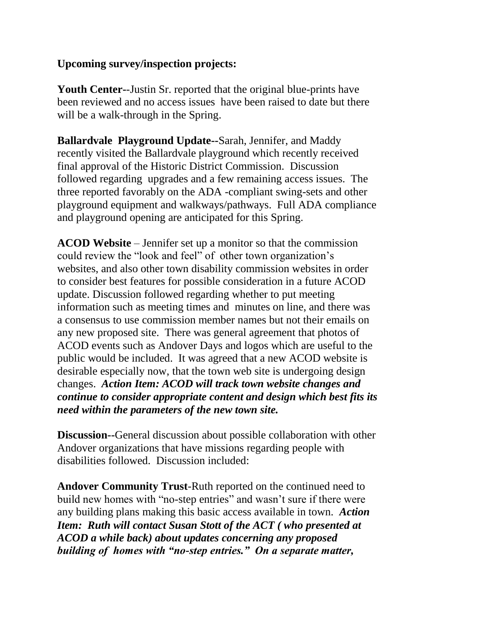## **Upcoming survey/inspection projects:**

**Youth Center-**-Justin Sr. reported that the original blue-prints have been reviewed and no access issues have been raised to date but there will be a walk-through in the Spring.

**Ballardvale Playground Update--**Sarah, Jennifer, and Maddy recently visited the Ballardvale playground which recently received final approval of the Historic District Commission. Discussion followed regarding upgrades and a few remaining access issues. The three reported favorably on the ADA -compliant swing-sets and other playground equipment and walkways/pathways. Full ADA compliance and playground opening are anticipated for this Spring.

**ACOD Website** – Jennifer set up a monitor so that the commission could review the "look and feel" of other town organization's websites, and also other town disability commission websites in order to consider best features for possible consideration in a future ACOD update. Discussion followed regarding whether to put meeting information such as meeting times and minutes on line, and there was a consensus to use commission member names but not their emails on any new proposed site. There was general agreement that photos of ACOD events such as Andover Days and logos which are useful to the public would be included. It was agreed that a new ACOD website is desirable especially now, that the town web site is undergoing design changes. *Action Item: ACOD will track town website changes and continue to consider appropriate content and design which best fits its need within the parameters of the new town site.*

**Discussion--**General discussion about possible collaboration with other Andover organizations that have missions regarding people with disabilities followed. Discussion included:

**Andover Community Trust**-Ruth reported on the continued need to build new homes with "no-step entries" and wasn't sure if there were any building plans making this basic access available in town. *Action Item: Ruth will contact Susan Stott of the ACT ( who presented at ACOD a while back) about updates concerning any proposed building of homes with "no-step entries." On a separate matter,*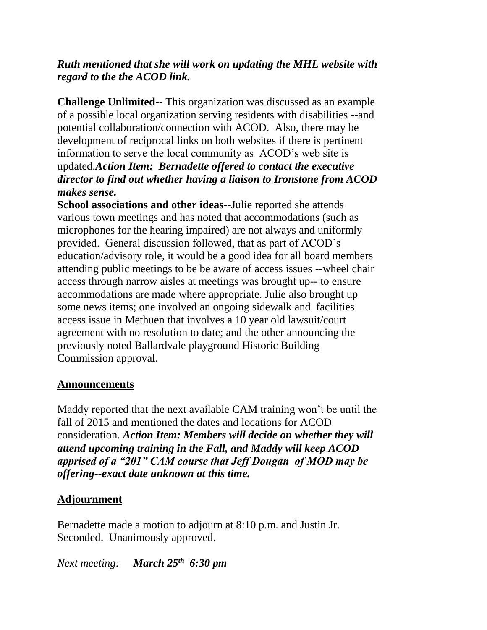# *Ruth mentioned that she will work on updating the MHL website with regard to the the ACOD link.*

**Challenge Unlimited-**- This organization was discussed as an example of a possible local organization serving residents with disabilities --and potential collaboration/connection with ACOD. Also, there may be development of reciprocal links on both websites if there is pertinent information to serve the local community as ACOD's web site is updated.*Action Item: Bernadette offered to contact the executive director to find out whether having a liaison to Ironstone from ACOD makes sense.*

**School associations and other ideas**--Julie reported she attends various town meetings and has noted that accommodations (such as microphones for the hearing impaired) are not always and uniformly provided. General discussion followed, that as part of ACOD's education/advisory role, it would be a good idea for all board members attending public meetings to be be aware of access issues --wheel chair access through narrow aisles at meetings was brought up-- to ensure accommodations are made where appropriate. Julie also brought up some news items; one involved an ongoing sidewalk and facilities access issue in Methuen that involves a 10 year old lawsuit/court agreement with no resolution to date; and the other announcing the previously noted Ballardvale playground Historic Building Commission approval.

#### **Announcements**

Maddy reported that the next available CAM training won't be until the fall of 2015 and mentioned the dates and locations for ACOD consideration. *Action Item: Members will decide on whether they will attend upcoming training in the Fall, and Maddy will keep ACOD apprised of a "201" CAM course that Jeff Dougan of MOD may be offering--exact date unknown at this time.*

# **Adjournment**

Bernadette made a motion to adjourn at 8:10 p.m. and Justin Jr. Seconded. Unanimously approved.

*Next meeting: March 25th 6:30 pm*